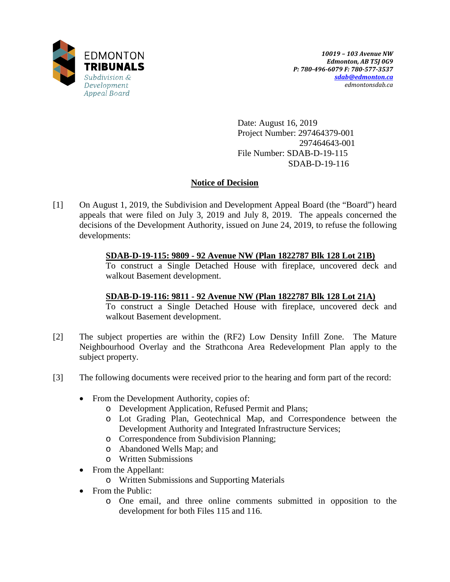

Date: August 16, 2019 Project Number: 297464379-001 297464643-001 File Number: SDAB-D-19-115 SDAB-D-19-116

# **Notice of Decision**

[1] On August 1, 2019, the Subdivision and Development Appeal Board (the "Board") heard appeals that were filed on July 3, 2019 and July 8, 2019. The appeals concerned the decisions of the Development Authority, issued on June 24, 2019, to refuse the following developments:

# **SDAB-D-19-115: 9809 - 92 Avenue NW (Plan 1822787 Blk 128 Lot 21B)**

To construct a Single Detached House with fireplace, uncovered deck and walkout Basement development.

## **SDAB-D-19-116: 9811 - 92 Avenue NW (Plan 1822787 Blk 128 Lot 21A)**

To construct a Single Detached House with fireplace, uncovered deck and walkout Basement development.

- [2] The subject properties are within the (RF2) Low Density Infill Zone. The Mature Neighbourhood Overlay and the Strathcona Area Redevelopment Plan apply to the subject property.
- [3] The following documents were received prior to the hearing and form part of the record:
	- From the Development Authority, copies of:
		- o Development Application, Refused Permit and Plans;
		- o Lot Grading Plan, Geotechnical Map, and Correspondence between the Development Authority and Integrated Infrastructure Services;
		- o Correspondence from Subdivision Planning;
		- o Abandoned Wells Map; and
		- o Written Submissions
	- From the Appellant:
		- o Written Submissions and Supporting Materials
	- From the Public:
		- o One email, and three online comments submitted in opposition to the development for both Files 115 and 116.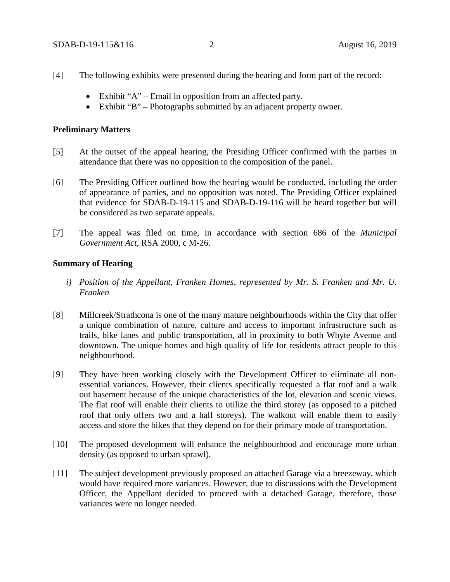- [4] The following exhibits were presented during the hearing and form part of the record:
	- Exhibit "A" Email in opposition from an affected party.
	- Exhibit "B" Photographs submitted by an adjacent property owner.

## **Preliminary Matters**

- [5] At the outset of the appeal hearing, the Presiding Officer confirmed with the parties in attendance that there was no opposition to the composition of the panel.
- [6] The Presiding Officer outlined how the hearing would be conducted, including the order of appearance of parties, and no opposition was noted. The Presiding Officer explained that evidence for SDAB-D-19-115 and SDAB-D-19-116 will be heard together but will be considered as two separate appeals.
- [7] The appeal was filed on time, in accordance with section 686 of the *Municipal Government Act*, RSA 2000, c M-26.

## **Summary of Hearing**

- *i) Position of the Appellant, Franken Homes, represented by Mr. S. Franken and Mr. U. Franken*
- [8] Millcreek/Strathcona is one of the many mature neighbourhoods within the City that offer a unique combination of nature, culture and access to important infrastructure such as trails, bike lanes and public transportation, all in proximity to both Whyte Avenue and downtown. The unique homes and high quality of life for residents attract people to this neighbourhood.
- [9] They have been working closely with the Development Officer to eliminate all nonessential variances. However, their clients specifically requested a flat roof and a walk out basement because of the unique characteristics of the lot, elevation and scenic views. The flat roof will enable their clients to utilize the third storey (as opposed to a pitched roof that only offers two and a half storeys). The walkout will enable them to easily access and store the bikes that they depend on for their primary mode of transportation.
- [10] The proposed development will enhance the neighbourhood and encourage more urban density (as opposed to urban sprawl).
- [11] The subject development previously proposed an attached Garage via a breezeway, which would have required more variances. However, due to discussions with the Development Officer, the Appellant decided to proceed with a detached Garage, therefore, those variances were no longer needed.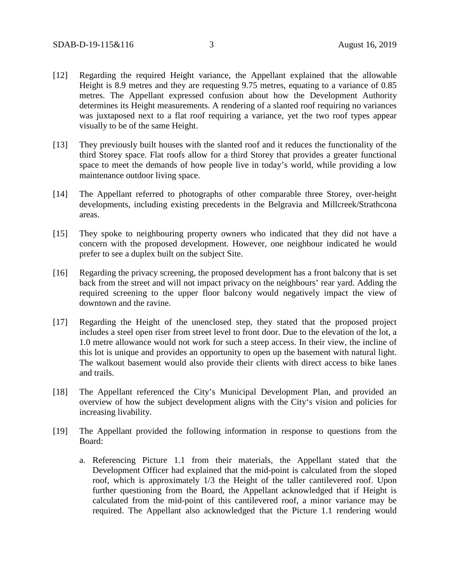- [12] Regarding the required Height variance, the Appellant explained that the allowable Height is 8.9 metres and they are requesting 9.75 metres, equating to a variance of 0.85 metres. The Appellant expressed confusion about how the Development Authority determines its Height measurements. A rendering of a slanted roof requiring no variances was juxtaposed next to a flat roof requiring a variance, yet the two roof types appear visually to be of the same Height.
- [13] They previously built houses with the slanted roof and it reduces the functionality of the third Storey space. Flat roofs allow for a third Storey that provides a greater functional space to meet the demands of how people live in today's world, while providing a low maintenance outdoor living space.
- [14] The Appellant referred to photographs of other comparable three Storey, over-height developments, including existing precedents in the Belgravia and Millcreek/Strathcona areas.
- [15] They spoke to neighbouring property owners who indicated that they did not have a concern with the proposed development. However, one neighbour indicated he would prefer to see a duplex built on the subject Site.
- [16] Regarding the privacy screening, the proposed development has a front balcony that is set back from the street and will not impact privacy on the neighbours' rear yard. Adding the required screening to the upper floor balcony would negatively impact the view of downtown and the ravine.
- [17] Regarding the Height of the unenclosed step, they stated that the proposed project includes a steel open riser from street level to front door. Due to the elevation of the lot, a 1.0 metre allowance would not work for such a steep access. In their view, the incline of this lot is unique and provides an opportunity to open up the basement with natural light. The walkout basement would also provide their clients with direct access to bike lanes and trails.
- [18] The Appellant referenced the City's Municipal Development Plan, and provided an overview of how the subject development aligns with the City's vision and policies for increasing livability.
- [19] The Appellant provided the following information in response to questions from the Board:
	- a. Referencing Picture 1.1 from their materials, the Appellant stated that the Development Officer had explained that the mid-point is calculated from the sloped roof, which is approximately 1/3 the Height of the taller cantilevered roof. Upon further questioning from the Board, the Appellant acknowledged that if Height is calculated from the mid-point of this cantilevered roof, a minor variance may be required. The Appellant also acknowledged that the Picture 1.1 rendering would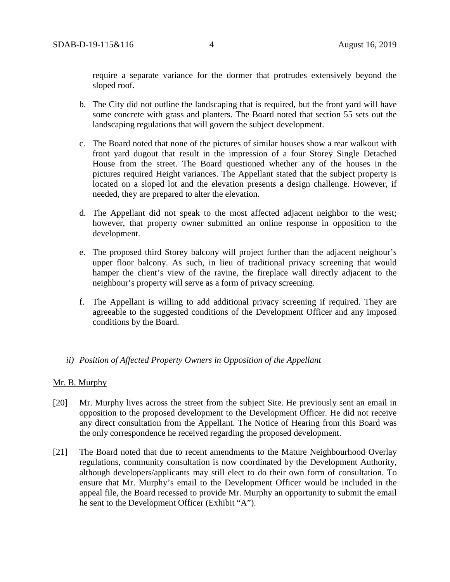require a separate variance for the dormer that protrudes extensively beyond the sloped roof.

- b. The City did not outline the landscaping that is required, but the front yard will have some concrete with grass and planters. The Board noted that section 55 sets out the landscaping regulations that will govern the subject development.
- c. The Board noted that none of the pictures of similar houses show a rear walkout with front yard dugout that result in the impression of a four Storey Single Detached House from the street. The Board questioned whether any of the houses in the pictures required Height variances. The Appellant stated that the subject property is located on a sloped lot and the elevation presents a design challenge. However, if needed, they are prepared to alter the elevation.
- d. The Appellant did not speak to the most affected adjacent neighbor to the west; however, that property owner submitted an online response in opposition to the development.
- e. The proposed third Storey balcony will project further than the adjacent neighour's upper floor balcony. As such, in lieu of traditional privacy screening that would hamper the client's view of the ravine, the fireplace wall directly adjacent to the neighbour's property will serve as a form of privacy screening.
- f. The Appellant is willing to add additional privacy screening if required. They are agreeable to the suggested conditions of the Development Officer and any imposed conditions by the Board.

## *ii) Position of Affected Property Owners in Opposition of the Appellant*

## Mr. B. Murphy

- [20] Mr. Murphy lives across the street from the subject Site. He previously sent an email in opposition to the proposed development to the Development Officer. He did not receive any direct consultation from the Appellant. The Notice of Hearing from this Board was the only correspondence he received regarding the proposed development.
- [21] The Board noted that due to recent amendments to the Mature Neighbourhood Overlay regulations, community consultation is now coordinated by the Development Authority, although developers/applicants may still elect to do their own form of consultation. To ensure that Mr. Murphy's email to the Development Officer would be included in the appeal file, the Board recessed to provide Mr. Murphy an opportunity to submit the email he sent to the Development Officer (Exhibit "A").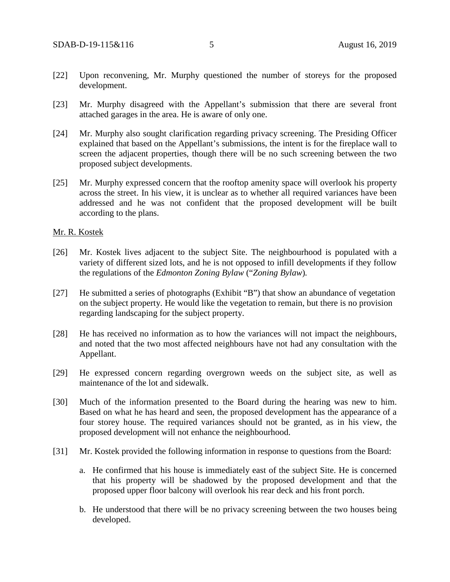- [22] Upon reconvening, Mr. Murphy questioned the number of storeys for the proposed development.
- [23] Mr. Murphy disagreed with the Appellant's submission that there are several front attached garages in the area. He is aware of only one.
- [24] Mr. Murphy also sought clarification regarding privacy screening. The Presiding Officer explained that based on the Appellant's submissions, the intent is for the fireplace wall to screen the adjacent properties, though there will be no such screening between the two proposed subject developments.
- [25] Mr. Murphy expressed concern that the rooftop amenity space will overlook his property across the street. In his view, it is unclear as to whether all required variances have been addressed and he was not confident that the proposed development will be built according to the plans.

#### Mr. R. Kostek

- [26] Mr. Kostek lives adjacent to the subject Site. The neighbourhood is populated with a variety of different sized lots, and he is not opposed to infill developments if they follow the regulations of the *Edmonton Zoning Bylaw* ("*Zoning Bylaw*)*.*
- [27] He submitted a series of photographs (Exhibit "B") that show an abundance of vegetation on the subject property. He would like the vegetation to remain, but there is no provision regarding landscaping for the subject property.
- [28] He has received no information as to how the variances will not impact the neighbours, and noted that the two most affected neighbours have not had any consultation with the Appellant.
- [29] He expressed concern regarding overgrown weeds on the subject site, as well as maintenance of the lot and sidewalk.
- [30] Much of the information presented to the Board during the hearing was new to him. Based on what he has heard and seen, the proposed development has the appearance of a four storey house. The required variances should not be granted, as in his view, the proposed development will not enhance the neighbourhood.
- [31] Mr. Kostek provided the following information in response to questions from the Board:
	- a. He confirmed that his house is immediately east of the subject Site. He is concerned that his property will be shadowed by the proposed development and that the proposed upper floor balcony will overlook his rear deck and his front porch.
	- b. He understood that there will be no privacy screening between the two houses being developed.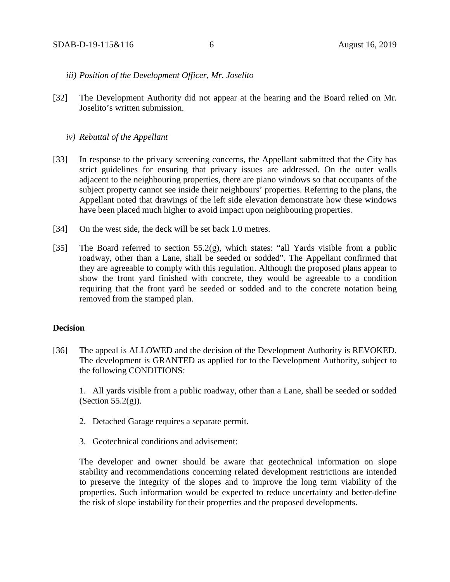#### *iii) Position of the Development Officer, Mr. Joselito*

[32] The Development Authority did not appear at the hearing and the Board relied on Mr. Joselito's written submission.

#### *iv) Rebuttal of the Appellant*

- [33] In response to the privacy screening concerns, the Appellant submitted that the City has strict guidelines for ensuring that privacy issues are addressed. On the outer walls adjacent to the neighbouring properties, there are piano windows so that occupants of the subject property cannot see inside their neighbours' properties. Referring to the plans, the Appellant noted that drawings of the left side elevation demonstrate how these windows have been placed much higher to avoid impact upon neighbouring properties.
- [34] On the west side, the deck will be set back 1.0 metres.
- [35] The Board referred to section 55.2(g), which states: "all Yards visible from a public roadway, other than a Lane, shall be seeded or sodded". The Appellant confirmed that they are agreeable to comply with this regulation. Although the proposed plans appear to show the front yard finished with concrete, they would be agreeable to a condition requiring that the front yard be seeded or sodded and to the concrete notation being removed from the stamped plan.

## **Decision**

[36] The appeal is ALLOWED and the decision of the Development Authority is REVOKED. The development is GRANTED as applied for to the Development Authority, subject to the following CONDITIONS:

1. All yards visible from a public roadway, other than a Lane, shall be seeded or sodded (Section  $55.2(g)$ ).

- 2. Detached Garage requires a separate permit.
- 3. Geotechnical conditions and advisement:

The developer and owner should be aware that geotechnical information on slope stability and recommendations concerning related development restrictions are intended to preserve the integrity of the slopes and to improve the long term viability of the properties. Such information would be expected to reduce uncertainty and better-define the risk of slope instability for their properties and the proposed developments.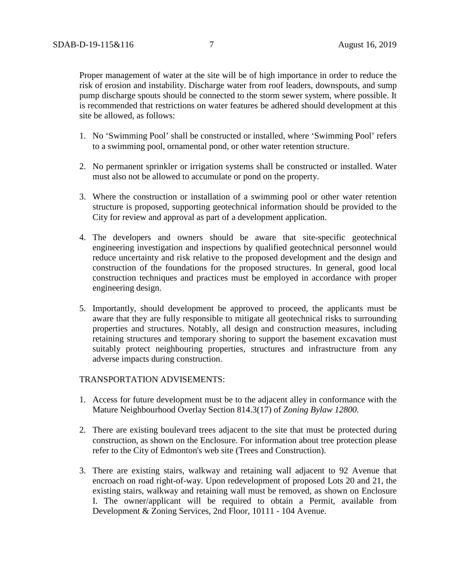Proper management of water at the site will be of high importance in order to reduce the risk of erosion and instability. Discharge water from roof leaders, downspouts, and sump pump discharge spouts should be connected to the storm sewer system, where possible. It is recommended that restrictions on water features be adhered should development at this site be allowed, as follows:

- 1. No 'Swimming Pool' shall be constructed or installed, where 'Swimming Pool' refers to a swimming pool, ornamental pond, or other water retention structure.
- 2. No permanent sprinkler or irrigation systems shall be constructed or installed. Water must also not be allowed to accumulate or pond on the property.
- 3. Where the construction or installation of a swimming pool or other water retention structure is proposed, supporting geotechnical information should be provided to the City for review and approval as part of a development application.
- 4. The developers and owners should be aware that site-specific geotechnical engineering investigation and inspections by qualified geotechnical personnel would reduce uncertainty and risk relative to the proposed development and the design and construction of the foundations for the proposed structures. In general, good local construction techniques and practices must be employed in accordance with proper engineering design.
- 5. Importantly, should development be approved to proceed, the applicants must be aware that they are fully responsible to mitigate all geotechnical risks to surrounding properties and structures. Notably, all design and construction measures, including retaining structures and temporary shoring to support the basement excavation must suitably protect neighbouring properties, structures and infrastructure from any adverse impacts during construction.

### TRANSPORTATION ADVISEMENTS:

- 1. Access for future development must be to the adjacent alley in conformance with the Mature Neighbourhood Overlay Section 814.3(17) of *Zoning Bylaw 12800*.
- 2. There are existing boulevard trees adjacent to the site that must be protected during construction, as shown on the Enclosure. For information about tree protection please refer to the City of Edmonton's web site (Trees and Construction).
- 3. There are existing stairs, walkway and retaining wall adjacent to 92 Avenue that encroach on road right-of-way. Upon redevelopment of proposed Lots 20 and 21, the existing stairs, walkway and retaining wall must be removed, as shown on Enclosure I. The owner/applicant will be required to obtain a Permit, available from Development & Zoning Services, 2nd Floor, 10111 - 104 Avenue.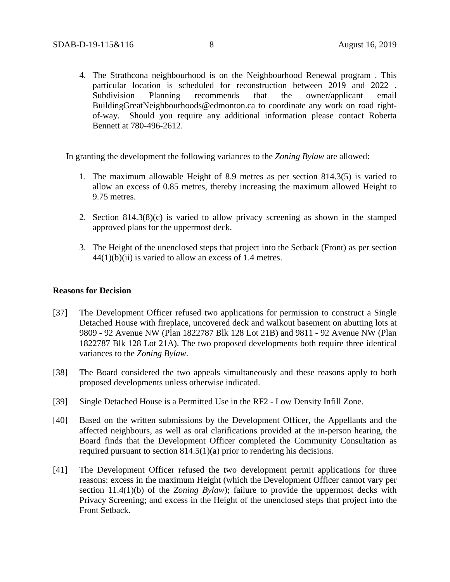4. The Strathcona neighbourhood is on the Neighbourhood Renewal program . This particular location is scheduled for reconstruction between 2019 and 2022 . Subdivision Planning recommends that the owner/applicant email BuildingGreatNeighbourhoods@edmonton.ca to coordinate any work on road rightof-way. Should you require any additional information please contact Roberta Bennett at 780-496-2612.

In granting the development the following variances to the *Zoning Bylaw* are allowed:

- 1. The maximum allowable Height of 8.9 metres as per section 814.3(5) is varied to allow an excess of 0.85 metres, thereby increasing the maximum allowed Height to 9.75 metres.
- 2. Section 814.3(8)(c) is varied to allow privacy screening as shown in the stamped approved plans for the uppermost deck.
- 3. The Height of the unenclosed steps that project into the Setback (Front) as per section  $44(1)(b)(ii)$  is varied to allow an excess of 1.4 metres.

## **Reasons for Decision**

- [37] The Development Officer refused two applications for permission to construct a Single Detached House with fireplace, uncovered deck and walkout basement on abutting lots at 9809 - 92 Avenue NW (Plan 1822787 Blk 128 Lot 21B) and 9811 - 92 Avenue NW (Plan 1822787 Blk 128 Lot 21A). The two proposed developments both require three identical variances to the *Zoning Bylaw*.
- [38] The Board considered the two appeals simultaneously and these reasons apply to both proposed developments unless otherwise indicated.
- [39] Single Detached House is a Permitted Use in the RF2 Low Density Infill Zone.
- [40] Based on the written submissions by the Development Officer, the Appellants and the affected neighbours, as well as oral clarifications provided at the in-person hearing, the Board finds that the Development Officer completed the Community Consultation as required pursuant to section 814.5(1)(a) prior to rendering his decisions.
- [41] The Development Officer refused the two development permit applications for three reasons: excess in the maximum Height (which the Development Officer cannot vary per section 11.4(1)(b) of the *Zoning Bylaw*); failure to provide the uppermost decks with Privacy Screening; and excess in the Height of the unenclosed steps that project into the Front Setback.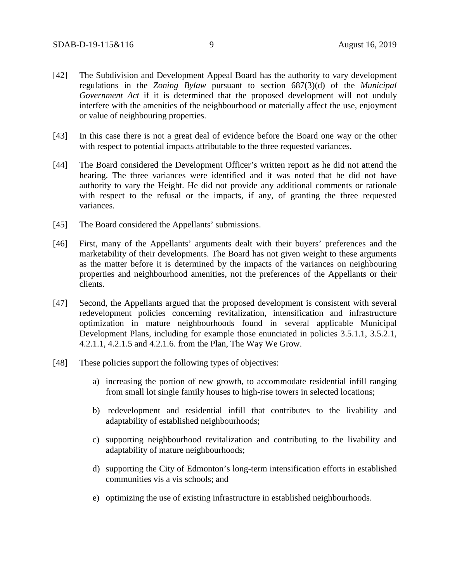- [42] The Subdivision and Development Appeal Board has the authority to vary development regulations in the *Zoning Bylaw* pursuant to section 687(3)(d) of the *Municipal Government Act* if it is determined that the proposed development will not unduly interfere with the amenities of the neighbourhood or materially affect the use, enjoyment or value of neighbouring properties.
- [43] In this case there is not a great deal of evidence before the Board one way or the other with respect to potential impacts attributable to the three requested variances.
- [44] The Board considered the Development Officer's written report as he did not attend the hearing. The three variances were identified and it was noted that he did not have authority to vary the Height. He did not provide any additional comments or rationale with respect to the refusal or the impacts, if any, of granting the three requested variances.
- [45] The Board considered the Appellants' submissions.
- [46] First, many of the Appellants' arguments dealt with their buyers' preferences and the marketability of their developments. The Board has not given weight to these arguments as the matter before it is determined by the impacts of the variances on neighbouring properties and neighbourhood amenities, not the preferences of the Appellants or their clients.
- [47] Second, the Appellants argued that the proposed development is consistent with several redevelopment policies concerning revitalization, intensification and infrastructure optimization in mature neighbourhoods found in several applicable Municipal Development Plans, including for example those enunciated in policies 3.5.1.1, 3.5.2.1, 4.2.1.1, 4.2.1.5 and 4.2.1.6. from the Plan, The Way We Grow.
- [48] These policies support the following types of objectives:
	- a) increasing the portion of new growth, to accommodate residential infill ranging from small lot single family houses to high-rise towers in selected locations;
	- b) redevelopment and residential infill that contributes to the livability and adaptability of established neighbourhoods;
	- c) supporting neighbourhood revitalization and contributing to the livability and adaptability of mature neighbourhoods;
	- d) supporting the City of Edmonton's long-term intensification efforts in established communities vis a vis schools; and
	- e) optimizing the use of existing infrastructure in established neighbourhoods.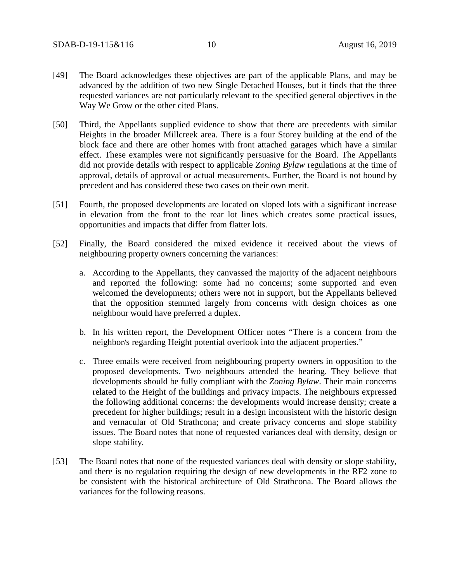- [49] The Board acknowledges these objectives are part of the applicable Plans, and may be advanced by the addition of two new Single Detached Houses, but it finds that the three requested variances are not particularly relevant to the specified general objectives in the Way We Grow or the other cited Plans.
- [50] Third, the Appellants supplied evidence to show that there are precedents with similar Heights in the broader Millcreek area. There is a four Storey building at the end of the block face and there are other homes with front attached garages which have a similar effect. These examples were not significantly persuasive for the Board. The Appellants did not provide details with respect to applicable *Zoning Bylaw* regulations at the time of approval, details of approval or actual measurements. Further, the Board is not bound by precedent and has considered these two cases on their own merit.
- [51] Fourth, the proposed developments are located on sloped lots with a significant increase in elevation from the front to the rear lot lines which creates some practical issues, opportunities and impacts that differ from flatter lots.
- [52] Finally, the Board considered the mixed evidence it received about the views of neighbouring property owners concerning the variances:
	- a. According to the Appellants, they canvassed the majority of the adjacent neighbours and reported the following: some had no concerns; some supported and even welcomed the developments; others were not in support, but the Appellants believed that the opposition stemmed largely from concerns with design choices as one neighbour would have preferred a duplex.
	- b. In his written report, the Development Officer notes "There is a concern from the neighbor/s regarding Height potential overlook into the adjacent properties."
	- c. Three emails were received from neighbouring property owners in opposition to the proposed developments. Two neighbours attended the hearing. They believe that developments should be fully compliant with the *Zoning Bylaw*. Their main concerns related to the Height of the buildings and privacy impacts. The neighbours expressed the following additional concerns: the developments would increase density; create a precedent for higher buildings; result in a design inconsistent with the historic design and vernacular of Old Strathcona; and create privacy concerns and slope stability issues. The Board notes that none of requested variances deal with density, design or slope stability.
- [53] The Board notes that none of the requested variances deal with density or slope stability, and there is no regulation requiring the design of new developments in the RF2 zone to be consistent with the historical architecture of Old Strathcona. The Board allows the variances for the following reasons.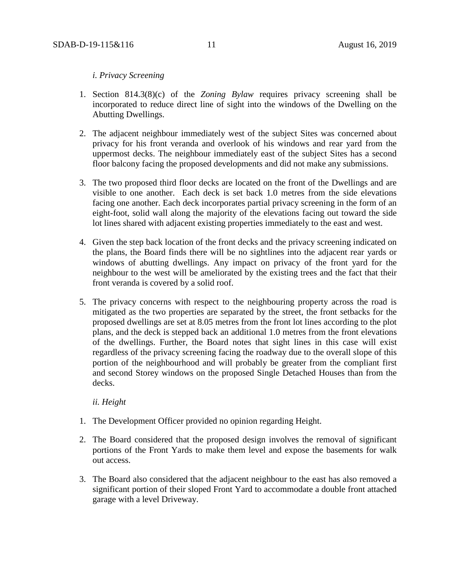## *i. Privacy Screening*

- 1. Section 814.3(8)(c) of the *Zoning Bylaw* requires privacy screening shall be incorporated to reduce direct line of sight into the windows of the Dwelling on the Abutting Dwellings.
- 2. The adjacent neighbour immediately west of the subject Sites was concerned about privacy for his front veranda and overlook of his windows and rear yard from the uppermost decks. The neighbour immediately east of the subject Sites has a second floor balcony facing the proposed developments and did not make any submissions.
- 3. The two proposed third floor decks are located on the front of the Dwellings and are visible to one another. Each deck is set back 1.0 metres from the side elevations facing one another. Each deck incorporates partial privacy screening in the form of an eight-foot, solid wall along the majority of the elevations facing out toward the side lot lines shared with adjacent existing properties immediately to the east and west.
- 4. Given the step back location of the front decks and the privacy screening indicated on the plans, the Board finds there will be no sightlines into the adjacent rear yards or windows of abutting dwellings. Any impact on privacy of the front yard for the neighbour to the west will be ameliorated by the existing trees and the fact that their front veranda is covered by a solid roof.
- 5. The privacy concerns with respect to the neighbouring property across the road is mitigated as the two properties are separated by the street, the front setbacks for the proposed dwellings are set at 8.05 metres from the front lot lines according to the plot plans, and the deck is stepped back an additional 1.0 metres from the front elevations of the dwellings. Further, the Board notes that sight lines in this case will exist regardless of the privacy screening facing the roadway due to the overall slope of this portion of the neighbourhood and will probably be greater from the compliant first and second Storey windows on the proposed Single Detached Houses than from the decks.

#### *ii. Height*

- 1. The Development Officer provided no opinion regarding Height.
- 2. The Board considered that the proposed design involves the removal of significant portions of the Front Yards to make them level and expose the basements for walk out access.
- 3. The Board also considered that the adjacent neighbour to the east has also removed a significant portion of their sloped Front Yard to accommodate a double front attached garage with a level Driveway.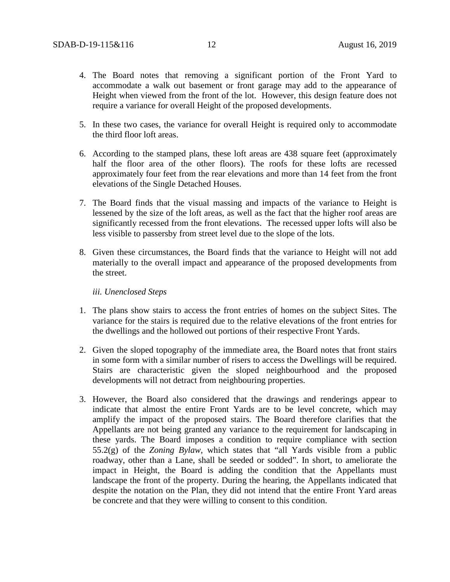- 4. The Board notes that removing a significant portion of the Front Yard to accommodate a walk out basement or front garage may add to the appearance of Height when viewed from the front of the lot. However, this design feature does not require a variance for overall Height of the proposed developments.
- 5. In these two cases, the variance for overall Height is required only to accommodate the third floor loft areas.
- 6. According to the stamped plans, these loft areas are 438 square feet (approximately half the floor area of the other floors). The roofs for these lofts are recessed approximately four feet from the rear elevations and more than 14 feet from the front elevations of the Single Detached Houses.
- 7. The Board finds that the visual massing and impacts of the variance to Height is lessened by the size of the loft areas, as well as the fact that the higher roof areas are significantly recessed from the front elevations. The recessed upper lofts will also be less visible to passersby from street level due to the slope of the lots.
- 8. Given these circumstances, the Board finds that the variance to Height will not add materially to the overall impact and appearance of the proposed developments from the street.

*iii. Unenclosed Steps*

- 1. The plans show stairs to access the front entries of homes on the subject Sites. The variance for the stairs is required due to the relative elevations of the front entries for the dwellings and the hollowed out portions of their respective Front Yards.
- 2. Given the sloped topography of the immediate area, the Board notes that front stairs in some form with a similar number of risers to access the Dwellings will be required. Stairs are characteristic given the sloped neighbourhood and the proposed developments will not detract from neighbouring properties.
- 3. However, the Board also considered that the drawings and renderings appear to indicate that almost the entire Front Yards are to be level concrete, which may amplify the impact of the proposed stairs. The Board therefore clarifies that the Appellants are not being granted any variance to the requirement for landscaping in these yards. The Board imposes a condition to require compliance with section 55.2(g) of the *Zoning Bylaw*, which states that "all Yards visible from a public roadway, other than a Lane, shall be seeded or sodded". In short, to ameliorate the impact in Height, the Board is adding the condition that the Appellants must landscape the front of the property. During the hearing, the Appellants indicated that despite the notation on the Plan, they did not intend that the entire Front Yard areas be concrete and that they were willing to consent to this condition.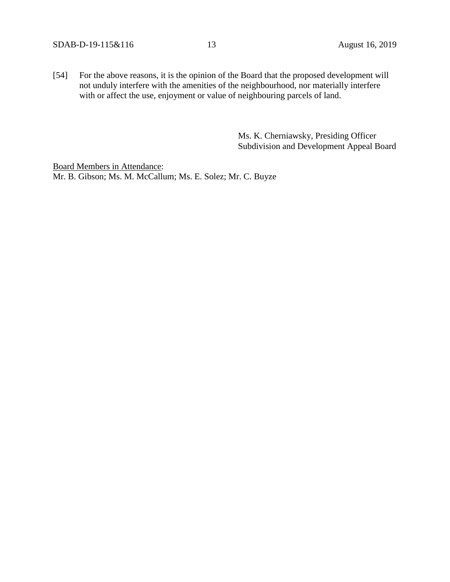[54] For the above reasons, it is the opinion of the Board that the proposed development will not unduly interfere with the amenities of the neighbourhood, nor materially interfere with or affect the use, enjoyment or value of neighbouring parcels of land.

> Ms. K. Cherniawsky, Presiding Officer Subdivision and Development Appeal Board

Board Members in Attendance: Mr. B. Gibson; Ms. M. McCallum; Ms. E. Solez; Mr. C. Buyze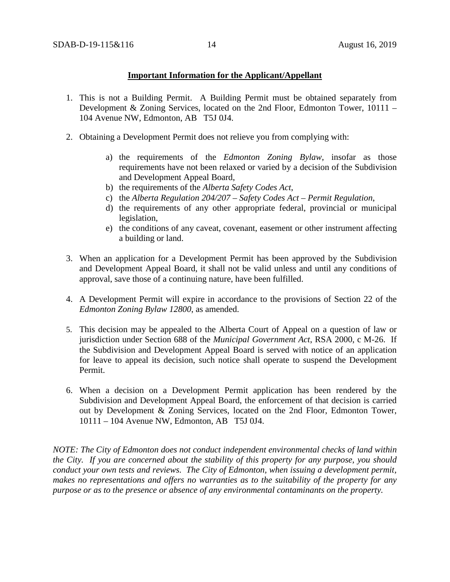## **Important Information for the Applicant/Appellant**

- 1. This is not a Building Permit. A Building Permit must be obtained separately from Development & Zoning Services, located on the 2nd Floor, Edmonton Tower, 10111 – 104 Avenue NW, Edmonton, AB T5J 0J4.
- 2. Obtaining a Development Permit does not relieve you from complying with:
	- a) the requirements of the *Edmonton Zoning Bylaw*, insofar as those requirements have not been relaxed or varied by a decision of the Subdivision and Development Appeal Board,
	- b) the requirements of the *Alberta Safety Codes Act*,
	- c) the *Alberta Regulation 204/207 – Safety Codes Act – Permit Regulation*,
	- d) the requirements of any other appropriate federal, provincial or municipal legislation,
	- e) the conditions of any caveat, covenant, easement or other instrument affecting a building or land.
- 3. When an application for a Development Permit has been approved by the Subdivision and Development Appeal Board, it shall not be valid unless and until any conditions of approval, save those of a continuing nature, have been fulfilled.
- 4. A Development Permit will expire in accordance to the provisions of Section 22 of the *Edmonton Zoning Bylaw 12800*, as amended.
- 5. This decision may be appealed to the Alberta Court of Appeal on a question of law or jurisdiction under Section 688 of the *Municipal Government Act*, RSA 2000, c M-26. If the Subdivision and Development Appeal Board is served with notice of an application for leave to appeal its decision, such notice shall operate to suspend the Development Permit.
- 6. When a decision on a Development Permit application has been rendered by the Subdivision and Development Appeal Board, the enforcement of that decision is carried out by Development & Zoning Services, located on the 2nd Floor, Edmonton Tower, 10111 – 104 Avenue NW, Edmonton, AB T5J 0J4.

*NOTE: The City of Edmonton does not conduct independent environmental checks of land within the City. If you are concerned about the stability of this property for any purpose, you should conduct your own tests and reviews. The City of Edmonton, when issuing a development permit, makes no representations and offers no warranties as to the suitability of the property for any purpose or as to the presence or absence of any environmental contaminants on the property.*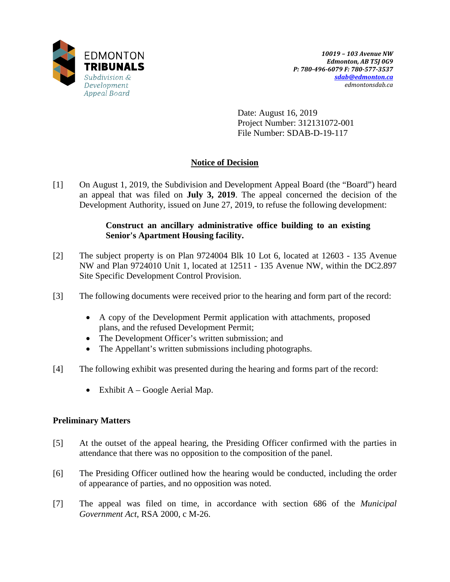

Date: August 16, 2019 Project Number: 312131072-001 File Number: SDAB-D-19-117

# **Notice of Decision**

[1] On August 1, 2019, the Subdivision and Development Appeal Board (the "Board") heard an appeal that was filed on **July 3, 2019**. The appeal concerned the decision of the Development Authority, issued on June 27, 2019, to refuse the following development:

# **Construct an ancillary administrative office building to an existing Senior's Apartment Housing facility.**

- [2] The subject property is on Plan 9724004 Blk 10 Lot 6, located at 12603 135 Avenue NW and Plan 9724010 Unit 1, located at 12511 - 135 Avenue NW, within the DC2.897 Site Specific Development Control Provision.
- [3] The following documents were received prior to the hearing and form part of the record:
	- A copy of the Development Permit application with attachments, proposed plans, and the refused Development Permit;
	- The Development Officer's written submission; and
	- The Appellant's written submissions including photographs.
- [4] The following exhibit was presented during the hearing and forms part of the record:
	- Exhibit A Google Aerial Map.

## **Preliminary Matters**

- [5] At the outset of the appeal hearing, the Presiding Officer confirmed with the parties in attendance that there was no opposition to the composition of the panel.
- [6] The Presiding Officer outlined how the hearing would be conducted, including the order of appearance of parties, and no opposition was noted.
- [7] The appeal was filed on time, in accordance with section 686 of the *Municipal Government Act*, RSA 2000, c M-26.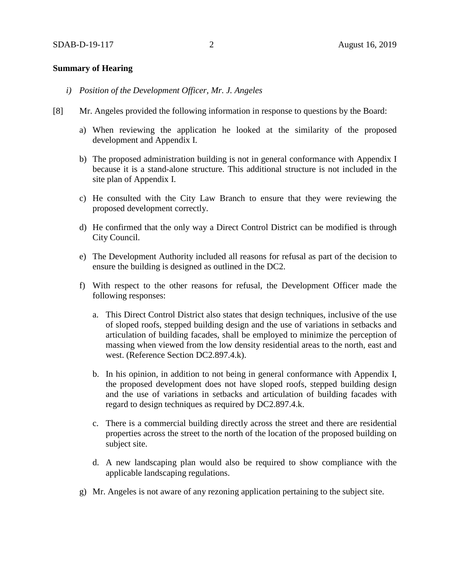## **Summary of Hearing**

- *i) Position of the Development Officer, Mr. J. Angeles*
- [8] Mr. Angeles provided the following information in response to questions by the Board:
	- a) When reviewing the application he looked at the similarity of the proposed development and Appendix I.
	- b) The proposed administration building is not in general conformance with Appendix I because it is a stand-alone structure. This additional structure is not included in the site plan of Appendix I.
	- c) He consulted with the City Law Branch to ensure that they were reviewing the proposed development correctly.
	- d) He confirmed that the only way a Direct Control District can be modified is through City Council.
	- e) The Development Authority included all reasons for refusal as part of the decision to ensure the building is designed as outlined in the DC2.
	- f) With respect to the other reasons for refusal, the Development Officer made the following responses:
		- a. This Direct Control District also states that design techniques, inclusive of the use of sloped roofs, stepped building design and the use of variations in setbacks and articulation of building facades, shall be employed to minimize the perception of massing when viewed from the low density residential areas to the north, east and west. (Reference Section DC2.897.4.k).
		- b. In his opinion, in addition to not being in general conformance with Appendix I, the proposed development does not have sloped roofs, stepped building design and the use of variations in setbacks and articulation of building facades with regard to design techniques as required by DC2.897.4.k.
		- c. There is a commercial building directly across the street and there are residential properties across the street to the north of the location of the proposed building on subject site.
		- d. A new landscaping plan would also be required to show compliance with the applicable landscaping regulations.
	- g) Mr. Angeles is not aware of any rezoning application pertaining to the subject site.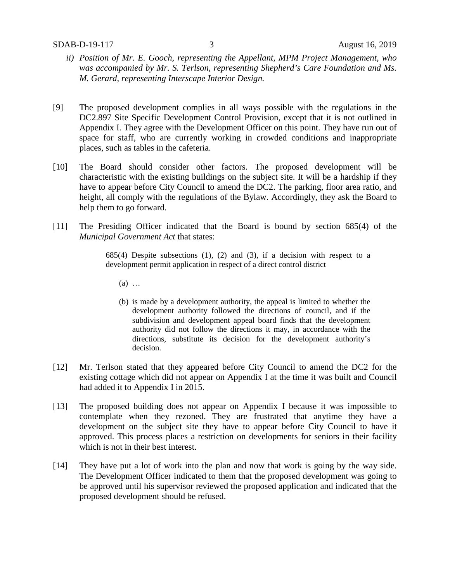- *ii) Position of Mr. E. Gooch, representing the Appellant, MPM Project Management, who was accompanied by Mr. S. Terlson, representing Shepherd's Care Foundation and Ms. M. Gerard, representing Interscape Interior Design.*
- [9] The proposed development complies in all ways possible with the regulations in the DC2.897 Site Specific Development Control Provision, except that it is not outlined in Appendix I. They agree with the Development Officer on this point. They have run out of space for staff, who are currently working in crowded conditions and inappropriate places, such as tables in the cafeteria.
- [10] The Board should consider other factors. The proposed development will be characteristic with the existing buildings on the subject site. It will be a hardship if they have to appear before City Council to amend the DC2. The parking, floor area ratio, and height, all comply with the regulations of the Bylaw. Accordingly, they ask the Board to help them to go forward.
- [11] The Presiding Officer indicated that the Board is bound by section 685(4) of the *Municipal Government Act* that states:

 $685(4)$  Despite subsections  $(1)$ ,  $(2)$  and  $(3)$ , if a decision with respect to a development permit application in respect of a direct control district

- (a) …
- (b) is made by a development authority, the appeal is limited to whether the development authority followed the directions of council, and if the subdivision and development appeal board finds that the development authority did not follow the directions it may, in accordance with the directions, substitute its decision for the development authority's decision.
- [12] Mr. Terlson stated that they appeared before City Council to amend the DC2 for the existing cottage which did not appear on Appendix I at the time it was built and Council had added it to Appendix I in 2015.
- [13] The proposed building does not appear on Appendix I because it was impossible to contemplate when they rezoned. They are frustrated that anytime they have a development on the subject site they have to appear before City Council to have it approved. This process places a restriction on developments for seniors in their facility which is not in their best interest.
- [14] They have put a lot of work into the plan and now that work is going by the way side. The Development Officer indicated to them that the proposed development was going to be approved until his supervisor reviewed the proposed application and indicated that the proposed development should be refused.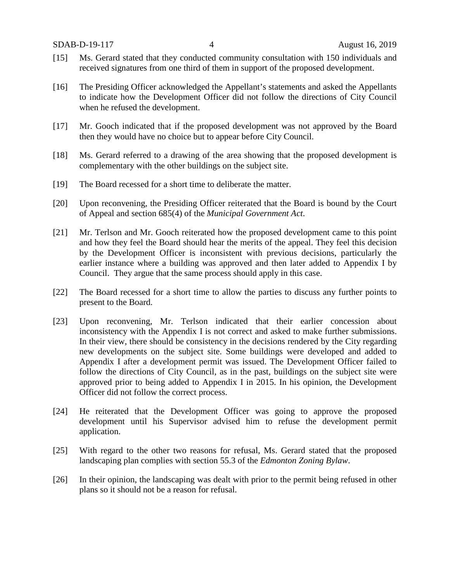- [15] Ms. Gerard stated that they conducted community consultation with 150 individuals and received signatures from one third of them in support of the proposed development.
- [16] The Presiding Officer acknowledged the Appellant's statements and asked the Appellants to indicate how the Development Officer did not follow the directions of City Council when he refused the development.
- [17] Mr. Gooch indicated that if the proposed development was not approved by the Board then they would have no choice but to appear before City Council.
- [18] Ms. Gerard referred to a drawing of the area showing that the proposed development is complementary with the other buildings on the subject site.
- [19] The Board recessed for a short time to deliberate the matter.
- [20] Upon reconvening, the Presiding Officer reiterated that the Board is bound by the Court of Appeal and section 685(4) of the *Municipal Government Act*.
- [21] Mr. Terlson and Mr. Gooch reiterated how the proposed development came to this point and how they feel the Board should hear the merits of the appeal. They feel this decision by the Development Officer is inconsistent with previous decisions, particularly the earlier instance where a building was approved and then later added to Appendix I by Council. They argue that the same process should apply in this case.
- [22] The Board recessed for a short time to allow the parties to discuss any further points to present to the Board.
- [23] Upon reconvening, Mr. Terlson indicated that their earlier concession about inconsistency with the Appendix I is not correct and asked to make further submissions. In their view, there should be consistency in the decisions rendered by the City regarding new developments on the subject site. Some buildings were developed and added to Appendix I after a development permit was issued. The Development Officer failed to follow the directions of City Council, as in the past, buildings on the subject site were approved prior to being added to Appendix I in 2015. In his opinion, the Development Officer did not follow the correct process.
- [24] He reiterated that the Development Officer was going to approve the proposed development until his Supervisor advised him to refuse the development permit application.
- [25] With regard to the other two reasons for refusal, Ms. Gerard stated that the proposed landscaping plan complies with section 55.3 of the *Edmonton Zoning Bylaw*.
- [26] In their opinion, the landscaping was dealt with prior to the permit being refused in other plans so it should not be a reason for refusal.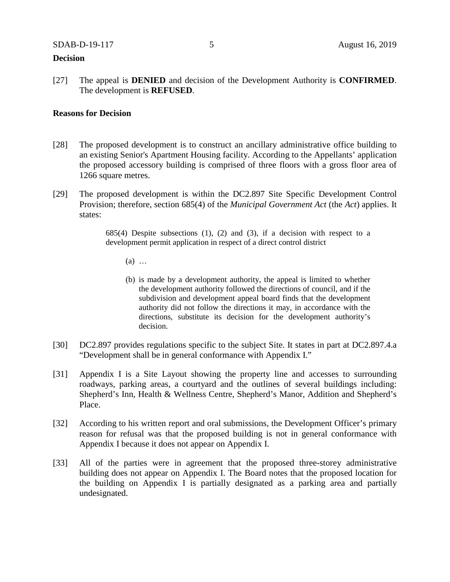## **Decision**

[27] The appeal is **DENIED** and decision of the Development Authority is **CONFIRMED**. The development is **REFUSED**.

## **Reasons for Decision**

- [28] The proposed development is to construct an ancillary administrative office building to an existing Senior's Apartment Housing facility. According to the Appellants' application the proposed accessory building is comprised of three floors with a gross floor area of 1266 square metres.
- [29] The proposed development is within the DC2.897 Site Specific Development Control Provision; therefore, section 685(4) of the *Municipal Government Act* (the *Act*) applies. It states:

685(4) Despite subsections  $(1)$ ,  $(2)$  and  $(3)$ , if a decision with respect to a development permit application in respect of a direct control district

- (a) …
- (b) is made by a development authority, the appeal is limited to whether the development authority followed the directions of council, and if the subdivision and development appeal board finds that the development authority did not follow the directions it may, in accordance with the directions, substitute its decision for the development authority's decision.
- [30] DC2.897 provides regulations specific to the subject Site. It states in part at DC2.897.4.a "Development shall be in general conformance with Appendix I."
- [31] Appendix I is a Site Layout showing the property line and accesses to surrounding roadways, parking areas, a courtyard and the outlines of several buildings including: Shepherd's Inn, Health & Wellness Centre, Shepherd's Manor, Addition and Shepherd's Place.
- [32] According to his written report and oral submissions, the Development Officer's primary reason for refusal was that the proposed building is not in general conformance with Appendix I because it does not appear on Appendix I.
- [33] All of the parties were in agreement that the proposed three-storey administrative building does not appear on Appendix I. The Board notes that the proposed location for the building on Appendix I is partially designated as a parking area and partially undesignated.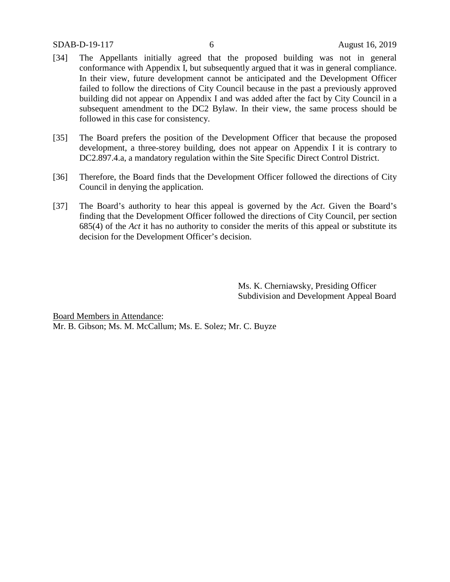### SDAB-D-19-117 6 August 16, 2019

- [34] The Appellants initially agreed that the proposed building was not in general conformance with Appendix I, but subsequently argued that it was in general compliance. In their view, future development cannot be anticipated and the Development Officer failed to follow the directions of City Council because in the past a previously approved building did not appear on Appendix I and was added after the fact by City Council in a subsequent amendment to the DC2 Bylaw. In their view, the same process should be followed in this case for consistency.
- [35] The Board prefers the position of the Development Officer that because the proposed development, a three-storey building, does not appear on Appendix I it is contrary to DC2.897.4.a, a mandatory regulation within the Site Specific Direct Control District.
- [36] Therefore, the Board finds that the Development Officer followed the directions of City Council in denying the application.
- [37] The Board's authority to hear this appeal is governed by the *Act*. Given the Board's finding that the Development Officer followed the directions of City Council, per section 685(4) of the *Act* it has no authority to consider the merits of this appeal or substitute its decision for the Development Officer's decision.

Ms. K. Cherniawsky, Presiding Officer Subdivision and Development Appeal Board

Board Members in Attendance: Mr. B. Gibson; Ms. M. McCallum; Ms. E. Solez; Mr. C. Buyze